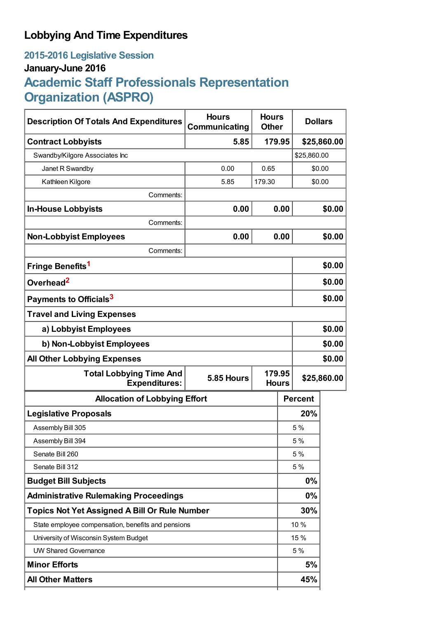## **Lobbying And Time Expenditures**

### **2015-2016 Legislative Session January-June 2016**

# **Academic Staff Professionals Representation Organization (ASPRO)**

| <b>Description Of Totals And Expenditures</b>                        | <b>Hours</b><br>Communicating | <b>Hours</b><br><b>Other</b> |                | <b>Dollars</b> |             |
|----------------------------------------------------------------------|-------------------------------|------------------------------|----------------|----------------|-------------|
| <b>Contract Lobbyists</b>                                            | 5.85                          | 179.95                       |                |                | \$25,860.00 |
| Swandby/Kilgore Associates Inc                                       |                               |                              |                | \$25,860.00    |             |
| Janet R Swandby                                                      | 0.00                          | 0.65                         |                |                | \$0.00      |
| Kathleen Kilgore                                                     | 5.85                          | 179.30                       |                | \$0.00         |             |
| Comments:                                                            |                               |                              |                |                |             |
| <b>In-House Lobbyists</b>                                            | 0.00                          |                              | 0.00           |                | \$0.00      |
| Comments:                                                            |                               |                              |                |                |             |
| <b>Non-Lobbyist Employees</b>                                        | 0.00                          |                              | 0.00           |                | \$0.00      |
| Comments:                                                            |                               |                              |                |                |             |
| Fringe Benefits <sup>1</sup>                                         |                               |                              |                |                | \$0.00      |
| Overhead <sup>2</sup>                                                |                               |                              |                | \$0.00         |             |
| Payments to Officials <sup>3</sup>                                   |                               |                              |                | \$0.00         |             |
| <b>Travel and Living Expenses</b>                                    |                               |                              |                |                |             |
| a) Lobbyist Employees                                                |                               |                              |                | \$0.00         |             |
| b) Non-Lobbyist Employees                                            |                               |                              |                | \$0.00         |             |
| <b>All Other Lobbying Expenses</b>                                   |                               |                              |                |                | \$0.00      |
| <b>Total Lobbying Time And</b><br>5.85 Hours<br><b>Expenditures:</b> |                               | 179.95<br><b>Hours</b>       | \$25,860.00    |                |             |
| <b>Allocation of Lobbying Effort</b>                                 |                               |                              | <b>Percent</b> |                |             |
| <b>Legislative Proposals</b>                                         |                               |                              |                | 20%            |             |
| Assembly Bill 305                                                    |                               |                              |                | 5 %            |             |
| Assembly Bill 394                                                    |                               |                              |                | 5 %            |             |
| Senate Bill 260                                                      |                               |                              |                | 5 %            |             |
| Senate Bill 312                                                      |                               |                              |                | 5 %            |             |
| <b>Budget Bill Subjects</b>                                          |                               |                              |                | 0%             |             |
| <b>Administrative Rulemaking Proceedings</b>                         |                               |                              |                | 0%             |             |
| <b>Topics Not Yet Assigned A Bill Or Rule Number</b>                 |                               |                              |                | 30%            |             |
| State employee compensation, benefits and pensions                   |                               |                              |                | 10 %           |             |
| University of Wisconsin System Budget                                |                               |                              |                | 15 %           |             |
| <b>UW Shared Governance</b>                                          |                               |                              |                | 5 %            |             |
| <b>Minor Efforts</b>                                                 |                               |                              |                | 5%             |             |
| <b>All Other Matters</b>                                             |                               |                              |                | 45%            |             |